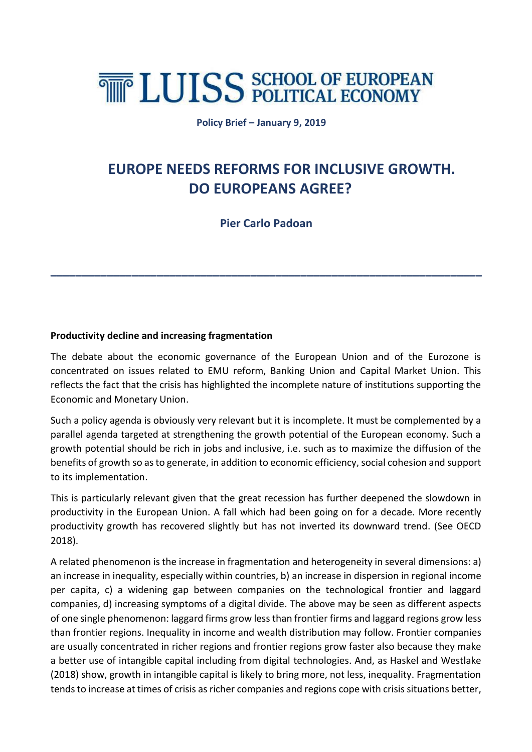# **THE LUISS SCHOOL OF EUROPEAN**

**Policy Brief – January 9, 2019**

# **EUROPE NEEDS REFORMS FOR INCLUSIVE GROWTH. DO EUROPEANS AGREE?**

 **Pier Carlo Padoan**

**\_\_\_\_\_\_\_\_\_\_\_\_\_\_\_\_\_\_\_\_\_\_\_\_\_\_\_\_\_\_\_\_\_\_\_\_\_\_\_\_\_\_\_\_\_\_\_\_\_\_\_\_\_\_\_\_\_\_\_\_\_\_\_\_\_\_\_\_\_**

# **Productivity decline and increasing fragmentation**

The debate about the economic governance of the European Union and of the Eurozone is concentrated on issues related to EMU reform, Banking Union and Capital Market Union. This reflects the fact that the crisis has highlighted the incomplete nature of institutions supporting the Economic and Monetary Union.

Such a policy agenda is obviously very relevant but it is incomplete. It must be complemented by a parallel agenda targeted at strengthening the growth potential of the European economy. Such a growth potential should be rich in jobs and inclusive, i.e. such as to maximize the diffusion of the benefits of growth so as to generate, in addition to economic efficiency, social cohesion and support to its implementation.

This is particularly relevant given that the great recession has further deepened the slowdown in productivity in the European Union. A fall which had been going on for a decade. More recently productivity growth has recovered slightly but has not inverted its downward trend. (See OECD 2018).

A related phenomenon is the increase in fragmentation and heterogeneity in several dimensions: a) an increase in inequality, especially within countries, b) an increase in dispersion in regional income per capita, c) a widening gap between companies on the technological frontier and laggard companies, d) increasing symptoms of a digital divide. The above may be seen as different aspects of one single phenomenon: laggard firms grow less than frontier firms and laggard regions grow less than frontier regions. Inequality in income and wealth distribution may follow. Frontier companies are usually concentrated in richer regions and frontier regions grow faster also because they make a better use of intangible capital including from digital technologies. And, as Haskel and Westlake (2018) show, growth in intangible capital is likely to bring more, not less, inequality. Fragmentation tends to increase at times of crisis as richer companies and regions cope with crisis situations better,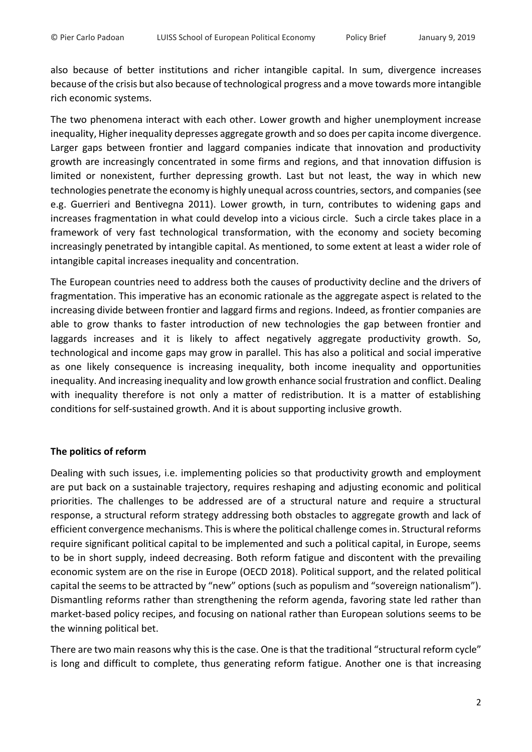also because of better institutions and richer intangible capital. In sum, divergence increases because of the crisis but also because of technological progress and a move towards more intangible rich economic systems.

The two phenomena interact with each other. Lower growth and higher unemployment increase inequality, Higher inequality depresses aggregate growth and so does per capita income divergence. Larger gaps between frontier and laggard companies indicate that innovation and productivity growth are increasingly concentrated in some firms and regions, and that innovation diffusion is limited or nonexistent, further depressing growth. Last but not least, the way in which new technologies penetrate the economy is highly unequal across countries, sectors, and companies(see e.g. Guerrieri and Bentivegna 2011). Lower growth, in turn, contributes to widening gaps and increases fragmentation in what could develop into a vicious circle. Such a circle takes place in a framework of very fast technological transformation, with the economy and society becoming increasingly penetrated by intangible capital. As mentioned, to some extent at least a wider role of intangible capital increases inequality and concentration.

The European countries need to address both the causes of productivity decline and the drivers of fragmentation. This imperative has an economic rationale as the aggregate aspect is related to the increasing divide between frontier and laggard firms and regions. Indeed, as frontier companies are able to grow thanks to faster introduction of new technologies the gap between frontier and laggards increases and it is likely to affect negatively aggregate productivity growth. So, technological and income gaps may grow in parallel. This has also a political and social imperative as one likely consequence is increasing inequality, both income inequality and opportunities inequality. And increasing inequality and low growth enhance social frustration and conflict. Dealing with inequality therefore is not only a matter of redistribution. It is a matter of establishing conditions for self-sustained growth. And it is about supporting inclusive growth.

## **The politics of reform**

Dealing with such issues, i.e. implementing policies so that productivity growth and employment are put back on a sustainable trajectory, requires reshaping and adjusting economic and political priorities. The challenges to be addressed are of a structural nature and require a structural response, a structural reform strategy addressing both obstacles to aggregate growth and lack of efficient convergence mechanisms. This is where the political challenge comes in. Structural reforms require significant political capital to be implemented and such a political capital, in Europe, seems to be in short supply, indeed decreasing. Both reform fatigue and discontent with the prevailing economic system are on the rise in Europe (OECD 2018). Political support, and the related political capital the seems to be attracted by "new" options (such as populism and "sovereign nationalism"). Dismantling reforms rather than strengthening the reform agenda, favoring state led rather than market-based policy recipes, and focusing on national rather than European solutions seems to be the winning political bet.

There are two main reasons why this is the case. One is that the traditional "structural reform cycle" is long and difficult to complete, thus generating reform fatigue. Another one is that increasing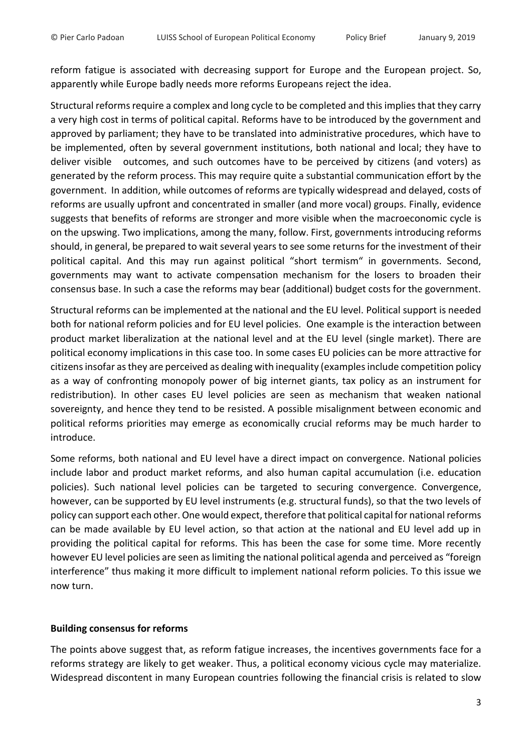reform fatigue is associated with decreasing support for Europe and the European project. So, apparently while Europe badly needs more reforms Europeans reject the idea.

Structural reforms require a complex and long cycle to be completed and this implies that they carry a very high cost in terms of political capital. Reforms have to be introduced by the government and approved by parliament; they have to be translated into administrative procedures, which have to be implemented, often by several government institutions, both national and local; they have to deliver visible outcomes, and such outcomes have to be perceived by citizens (and voters) as generated by the reform process. This may require quite a substantial communication effort by the government. In addition, while outcomes of reforms are typically widespread and delayed, costs of reforms are usually upfront and concentrated in smaller (and more vocal) groups. Finally, evidence suggests that benefits of reforms are stronger and more visible when the macroeconomic cycle is on the upswing. Two implications, among the many, follow. First, governments introducing reforms should, in general, be prepared to wait several years to see some returns for the investment of their political capital. And this may run against political "short termism" in governments. Second, governments may want to activate compensation mechanism for the losers to broaden their consensus base. In such a case the reforms may bear (additional) budget costs for the government.

Structural reforms can be implemented at the national and the EU level. Political support is needed both for national reform policies and for EU level policies. One example is the interaction between product market liberalization at the national level and at the EU level (single market). There are political economy implications in this case too. In some cases EU policies can be more attractive for citizens insofar as they are perceived as dealing with inequality (examples include competition policy as a way of confronting monopoly power of big internet giants, tax policy as an instrument for redistribution). In other cases EU level policies are seen as mechanism that weaken national sovereignty, and hence they tend to be resisted. A possible misalignment between economic and political reforms priorities may emerge as economically crucial reforms may be much harder to introduce.

Some reforms, both national and EU level have a direct impact on convergence. National policies include labor and product market reforms, and also human capital accumulation (i.e. education policies). Such national level policies can be targeted to securing convergence. Convergence, however, can be supported by EU level instruments (e.g. structural funds), so that the two levels of policy can support each other. One would expect, therefore that political capital for national reforms can be made available by EU level action, so that action at the national and EU level add up in providing the political capital for reforms. This has been the case for some time. More recently however EU level policies are seen as limiting the national political agenda and perceived as "foreign interference" thus making it more difficult to implement national reform policies. To this issue we now turn.

## **Building consensus for reforms**

The points above suggest that, as reform fatigue increases, the incentives governments face for a reforms strategy are likely to get weaker. Thus, a political economy vicious cycle may materialize. Widespread discontent in many European countries following the financial crisis is related to slow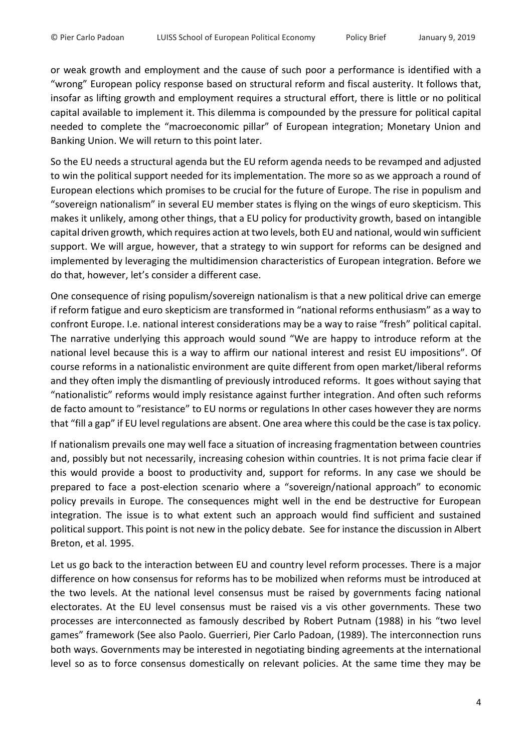or weak growth and employment and the cause of such poor a performance is identified with a "wrong" European policy response based on structural reform and fiscal austerity. It follows that, insofar as lifting growth and employment requires a structural effort, there is little or no political capital available to implement it. This dilemma is compounded by the pressure for political capital needed to complete the "macroeconomic pillar" of European integration; Monetary Union and Banking Union. We will return to this point later.

So the EU needs a structural agenda but the EU reform agenda needs to be revamped and adjusted to win the political support needed for its implementation. The more so as we approach a round of European elections which promises to be crucial for the future of Europe. The rise in populism and "sovereign nationalism" in several EU member states is flying on the wings of euro skepticism. This makes it unlikely, among other things, that a EU policy for productivity growth, based on intangible capital driven growth, which requires action at two levels, both EU and national, would win sufficient support. We will argue, however, that a strategy to win support for reforms can be designed and implemented by leveraging the multidimension characteristics of European integration. Before we do that, however, let's consider a different case.

One consequence of rising populism/sovereign nationalism is that a new political drive can emerge if reform fatigue and euro skepticism are transformed in "national reforms enthusiasm" as a way to confront Europe. I.e. national interest considerations may be a way to raise "fresh" political capital. The narrative underlying this approach would sound "We are happy to introduce reform at the national level because this is a way to affirm our national interest and resist EU impositions". Of course reforms in a nationalistic environment are quite different from open market/liberal reforms and they often imply the dismantling of previously introduced reforms. It goes without saying that "nationalistic" reforms would imply resistance against further integration. And often such reforms de facto amount to "resistance" to EU norms or regulations In other cases however they are norms that "fill a gap" if EU level regulations are absent. One area where this could be the case is tax policy.

If nationalism prevails one may well face a situation of increasing fragmentation between countries and, possibly but not necessarily, increasing cohesion within countries. It is not prima facie clear if this would provide a boost to productivity and, support for reforms. In any case we should be prepared to face a post-election scenario where a "sovereign/national approach" to economic policy prevails in Europe. The consequences might well in the end be destructive for European integration. The issue is to what extent such an approach would find sufficient and sustained political support. This point is not new in the policy debate. See for instance the discussion in Albert Breton, et al. 1995.

Let us go back to the interaction between EU and country level reform processes. There is a major difference on how consensus for reforms has to be mobilized when reforms must be introduced at the two levels. At the national level consensus must be raised by governments facing national electorates. At the EU level consensus must be raised vis a vis other governments. These two processes are interconnected as famously described by Robert Putnam (1988) in his "two level games" framework (See also Paolo. Guerrieri, Pier Carlo Padoan, (1989). The interconnection runs both ways. Governments may be interested in negotiating binding agreements at the international level so as to force consensus domestically on relevant policies. At the same time they may be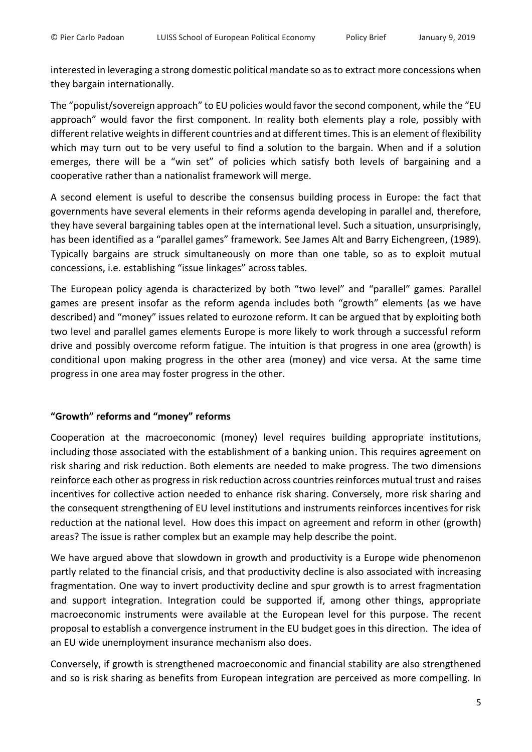interested in leveraging a strong domestic political mandate so as to extract more concessions when they bargain internationally.

The "populist/sovereign approach" to EU policies would favor the second component, while the "EU approach" would favor the first component. In reality both elements play a role, possibly with different relative weights in different countries and at different times. This is an element of flexibility which may turn out to be very useful to find a solution to the bargain. When and if a solution emerges, there will be a "win set" of policies which satisfy both levels of bargaining and a cooperative rather than a nationalist framework will merge.

A second element is useful to describe the consensus building process in Europe: the fact that governments have several elements in their reforms agenda developing in parallel and, therefore, they have several bargaining tables open at the international level. Such a situation, unsurprisingly, has been identified as a "parallel games" framework. See James Alt and Barry Eichengreen, (1989). Typically bargains are struck simultaneously on more than one table, so as to exploit mutual concessions, i.e. establishing "issue linkages" across tables.

The European policy agenda is characterized by both "two level" and "parallel" games. Parallel games are present insofar as the reform agenda includes both "growth" elements (as we have described) and "money" issues related to eurozone reform. It can be argued that by exploiting both two level and parallel games elements Europe is more likely to work through a successful reform drive and possibly overcome reform fatigue. The intuition is that progress in one area (growth) is conditional upon making progress in the other area (money) and vice versa. At the same time progress in one area may foster progress in the other.

#### **"Growth" reforms and "money" reforms**

Cooperation at the macroeconomic (money) level requires building appropriate institutions, including those associated with the establishment of a banking union. This requires agreement on risk sharing and risk reduction. Both elements are needed to make progress. The two dimensions reinforce each other as progress in risk reduction across countries reinforces mutual trust and raises incentives for collective action needed to enhance risk sharing. Conversely, more risk sharing and the consequent strengthening of EU level institutions and instruments reinforces incentives for risk reduction at the national level. How does this impact on agreement and reform in other (growth) areas? The issue is rather complex but an example may help describe the point.

We have argued above that slowdown in growth and productivity is a Europe wide phenomenon partly related to the financial crisis, and that productivity decline is also associated with increasing fragmentation. One way to invert productivity decline and spur growth is to arrest fragmentation and support integration. Integration could be supported if, among other things, appropriate macroeconomic instruments were available at the European level for this purpose. The recent proposal to establish a convergence instrument in the EU budget goes in this direction. The idea of an EU wide unemployment insurance mechanism also does.

Conversely, if growth is strengthened macroeconomic and financial stability are also strengthened and so is risk sharing as benefits from European integration are perceived as more compelling. In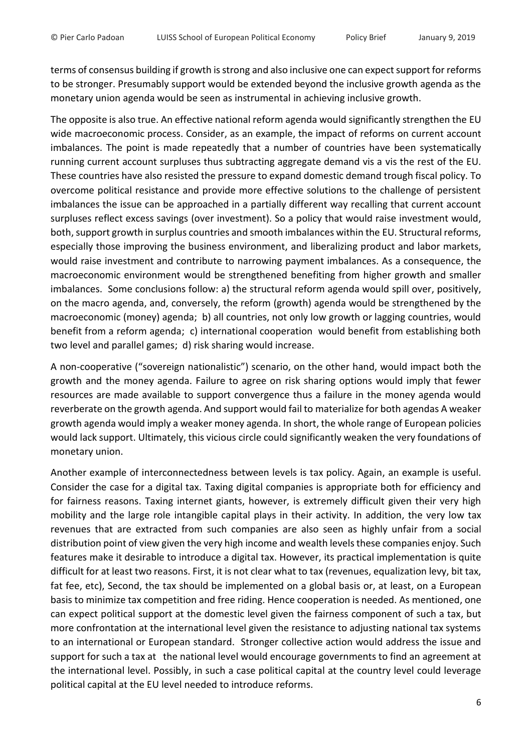terms of consensus building if growth is strong and also inclusive one can expect support for reforms to be stronger. Presumably support would be extended beyond the inclusive growth agenda as the monetary union agenda would be seen as instrumental in achieving inclusive growth.

The opposite is also true. An effective national reform agenda would significantly strengthen the EU wide macroeconomic process. Consider, as an example, the impact of reforms on current account imbalances. The point is made repeatedly that a number of countries have been systematically running current account surpluses thus subtracting aggregate demand vis a vis the rest of the EU. These countries have also resisted the pressure to expand domestic demand trough fiscal policy. To overcome political resistance and provide more effective solutions to the challenge of persistent imbalances the issue can be approached in a partially different way recalling that current account surpluses reflect excess savings (over investment). So a policy that would raise investment would, both, support growth in surplus countries and smooth imbalances within the EU. Structural reforms, especially those improving the business environment, and liberalizing product and labor markets, would raise investment and contribute to narrowing payment imbalances. As a consequence, the macroeconomic environment would be strengthened benefiting from higher growth and smaller imbalances. Some conclusions follow: a) the structural reform agenda would spill over, positively, on the macro agenda, and, conversely, the reform (growth) agenda would be strengthened by the macroeconomic (money) agenda; b) all countries, not only low growth or lagging countries, would benefit from a reform agenda; c) international cooperation would benefit from establishing both two level and parallel games; d) risk sharing would increase.

A non-cooperative ("sovereign nationalistic") scenario, on the other hand, would impact both the growth and the money agenda. Failure to agree on risk sharing options would imply that fewer resources are made available to support convergence thus a failure in the money agenda would reverberate on the growth agenda. And support would fail to materialize for both agendas A weaker growth agenda would imply a weaker money agenda. In short, the whole range of European policies would lack support. Ultimately, this vicious circle could significantly weaken the very foundations of monetary union.

Another example of interconnectedness between levels is tax policy. Again, an example is useful. Consider the case for a digital tax. Taxing digital companies is appropriate both for efficiency and for fairness reasons. Taxing internet giants, however, is extremely difficult given their very high mobility and the large role intangible capital plays in their activity. In addition, the very low tax revenues that are extracted from such companies are also seen as highly unfair from a social distribution point of view given the very high income and wealth levels these companies enjoy. Such features make it desirable to introduce a digital tax. However, its practical implementation is quite difficult for at least two reasons. First, it is not clear what to tax (revenues, equalization levy, bit tax, fat fee, etc), Second, the tax should be implemented on a global basis or, at least, on a European basis to minimize tax competition and free riding. Hence cooperation is needed. As mentioned, one can expect political support at the domestic level given the fairness component of such a tax, but more confrontation at the international level given the resistance to adjusting national tax systems to an international or European standard. Stronger collective action would address the issue and support for such a tax at the national level would encourage governments to find an agreement at the international level. Possibly, in such a case political capital at the country level could leverage political capital at the EU level needed to introduce reforms.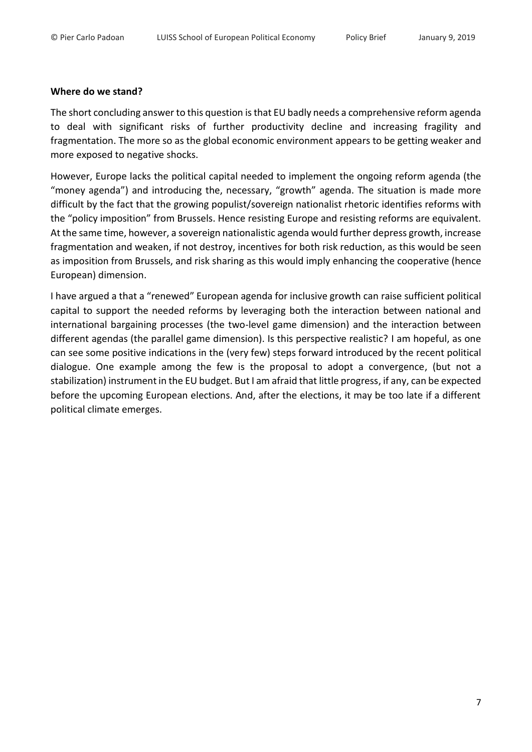#### **Where do we stand?**

The short concluding answer to this question is that EU badly needs a comprehensive reform agenda to deal with significant risks of further productivity decline and increasing fragility and fragmentation. The more so as the global economic environment appears to be getting weaker and more exposed to negative shocks.

However, Europe lacks the political capital needed to implement the ongoing reform agenda (the "money agenda") and introducing the, necessary, "growth" agenda. The situation is made more difficult by the fact that the growing populist/sovereign nationalist rhetoric identifies reforms with the "policy imposition" from Brussels. Hence resisting Europe and resisting reforms are equivalent. At the same time, however, a sovereign nationalistic agenda would further depress growth, increase fragmentation and weaken, if not destroy, incentives for both risk reduction, as this would be seen as imposition from Brussels, and risk sharing as this would imply enhancing the cooperative (hence European) dimension.

I have argued a that a "renewed" European agenda for inclusive growth can raise sufficient political capital to support the needed reforms by leveraging both the interaction between national and international bargaining processes (the two-level game dimension) and the interaction between different agendas (the parallel game dimension). Is this perspective realistic? I am hopeful, as one can see some positive indications in the (very few) steps forward introduced by the recent political dialogue. One example among the few is the proposal to adopt a convergence, (but not a stabilization) instrument in the EU budget. But I am afraid that little progress, if any, can be expected before the upcoming European elections. And, after the elections, it may be too late if a different political climate emerges.